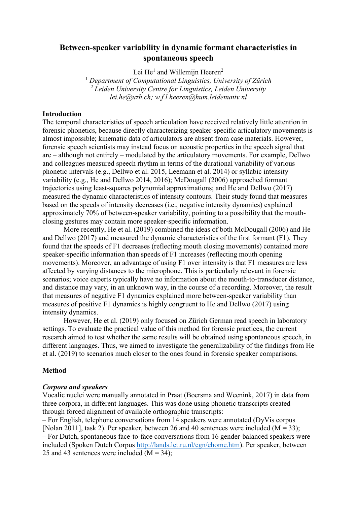# **Between-speaker variability in dynamic formant characteristics in spontaneous speech**

Lei He<sup>1</sup> and Willemijn Heeren<sup>2</sup>

<sup>1</sup> *Department of Computational Linguistics, University of Zürich <sup>2</sup> Leiden University Centre for Linguistics, Leiden University lei.he@uzh.ch; w.f.l.heeren@hum.leidenuniv.nl*

### **Introduction**

The temporal characteristics of speech articulation have received relatively little attention in forensic phonetics, because directly characterizing speaker-specific articulatory movements is almost impossible; kinematic data of articulators are absent from case materials. However, forensic speech scientists may instead focus on acoustic properties in the speech signal that are – although not entirely – modulated by the articulatory movements. For example, Dellwo and colleagues measured speech rhythm in terms of the durational variability of various phonetic intervals (e.g., Dellwo et al. 2015, Leemann et al. 2014) or syllabic intensity variability (e.g., He and Dellwo 2014, 2016); McDougall (2006) approached formant trajectories using least-squares polynomial approximations; and He and Dellwo (2017) measured the dynamic characteristics of intensity contours. Their study found that measures based on the speeds of intensity decreases (i.e., negative intensity dynamics) explained approximately 70% of between-speaker variability, pointing to a possibility that the mouthclosing gestures may contain more speaker-specific information.

More recently, He et al. (2019) combined the ideas of both McDougall (2006) and He and Dellwo (2017) and measured the dynamic characteristics of the first formant (F1). They found that the speeds of F1 decreases (reflecting mouth closing movements) contained more speaker-specific information than speeds of F1 increases (reflecting mouth opening movements). Moreover, an advantage of using F1 over intensity is that F1 measures are less affected by varying distances to the microphone. This is particularly relevant in forensic scenarios; voice experts typically have no information about the mouth-to-transducer distance, and distance may vary, in an unknown way, in the course of a recording. Moreover, the result that measures of negative F1 dynamics explained more between-speaker variability than measures of positive F1 dynamics is highly congruent to He and Dellwo (2017) using intensity dynamics.

However, He et al. (2019) only focused on Zürich German read speech in laboratory settings. To evaluate the practical value of this method for forensic practices, the current research aimed to test whether the same results will be obtained using spontaneous speech, in different languages. Thus, we aimed to investigate the generalizability of the findings from He et al. (2019) to scenarios much closer to the ones found in forensic speaker comparisons.

#### **Method**

#### *Corpora and speakers*

Vocalic nuclei were manually annotated in Praat (Boersma and Weenink, 2017) in data from three corpora, in different languages. This was done using phonetic transcripts created through forced alignment of available orthographic transcripts:

– For English, telephone conversations from 14 speakers were annotated (DyVis corpus [Nolan 2011], task 2). Per speaker, between 26 and 40 sentences were included ( $M = 33$ ); – For Dutch, spontaneous face-to-face conversations from 16 gender-balanced speakers were included (Spoken Dutch Corpus [http://lands.let.ru.nl/cgn/ehome.htm\)](http://lands.let.ru.nl/cgn/ehome.htm). Per speaker, between 25 and 43 sentences were included  $(M = 34)$ ;